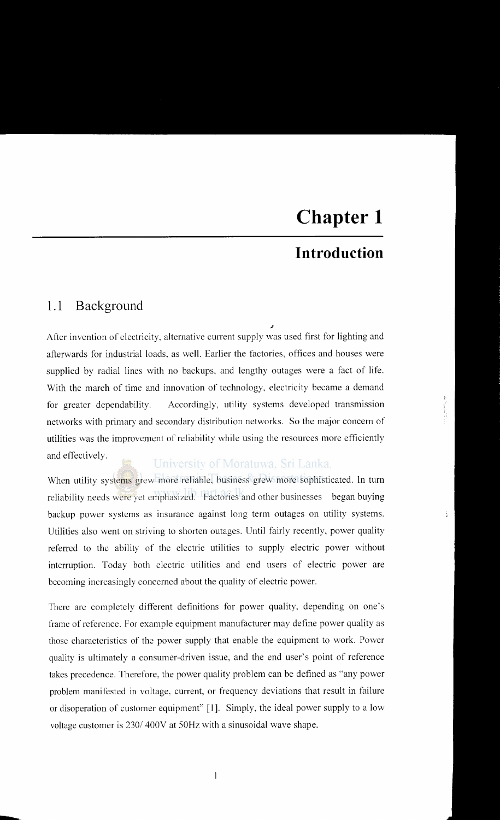# **Introduction**

### **1.1 Background**

--

" After invention of electricity, alternative current supply was used first for lighting and afterwards for industrial loads, as well. Earlier the factories, offices and houses were supplied by radial lines with no backups, and lengthy outages were a fact of life. With the march of time and innovation of technology. electricity became a demand for greater dependability. Accordingly, utility systems developed transmission networks with primary and secondary distribution networks. So the major concern of utilities was the improvement of reliability while using the resources more efficiently and effectively.

University of Moratuwa, Sri Lanka.

When utility systems grew more reliable, business grew more sophisticated. In turn reliability needs were yet emphasized. Factories and other businesses began buying backup power systems as insurance against long term outages on utility systems. Utilities also went on striving to shorten outages. Until fairly recently, power quality referred to the ability of the electric utilities to supply electric power without interruption. Today both electric utilities and end users of electric power are becoming increasingly concerned about the quality of electric power.

There are completely different definitions for power quality, depending on one's frame of reference. For example equipment manufacturer may define power quality as those characteristics of the power supply that enable the equipment to work. Power quality is ultimately a consumer-driven issue, and the end user's point of reference takes precedence. Therefore, the power quality problem can be defined as "any power problem manifested in voltage, current, or frequency deviations that result in failure or disoperation of customer equipment" [1]. Simply, the ideal power supply to a low voltage customer is 230/ 400V at 50Hz with a sinusoidal wave shape.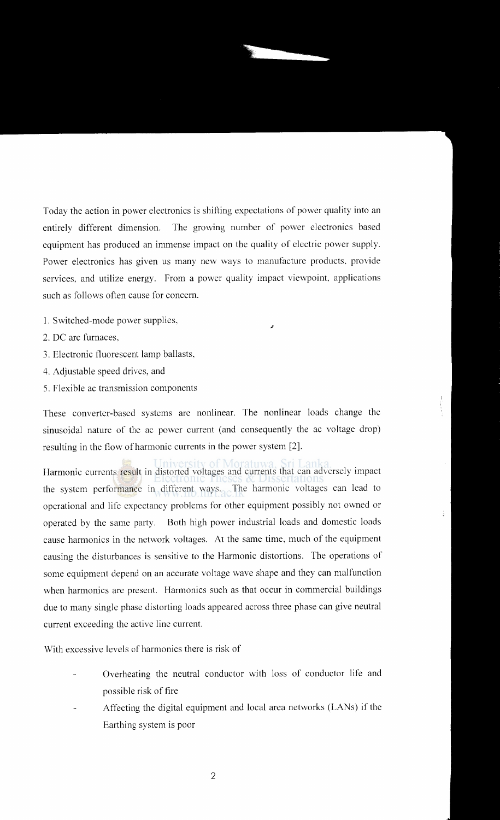Today the action in power electronics is shifting expectations of power quality into an entirely different dimension. The growing number of power electronics based equipment has produced an immense impact on the quality of electric power supply. Power electronics has given us many new ways to manufacture products. provide services, and utilize energy. From a power quality impact viewpoint, applications such as follows often cause for concern.

- 1. Switched-mode power supplies,<br>2. DC arc furnaces,
- 
- 3. Electronic fluorescent lamp ballasts,
- 4. Adjustable speed drives, and
- 5. Flexible ac transmission components

These converter-based systems are nonlinear. The nonlinear loads change the sinusoidal nature of the ac power current (and consequently the ac voltage drop) resulting in the flow of harmonic currents in the power system [2].

Harmonic currents result in distorted voltages and currents that can adversely impact the system performance in different ways. The harmonic voltages can lead to operational and life expectancy problems for other equipment possibly not owned or operated by the same party. Both high power industrial loads and domestic loads cause harmonics in the network voltages. At the same time, much of the equipment causing the disturbances is sensitive to the Harmonic distortions. The operations of some equipment depend on an accurate voltage wave shape and they can malfunction when harmonics are present. Harmonics such as that occur in commercial buildings due to many single phase distorting loads appeared across three phase can give neutral current exceeding the active line current.

With excessive levels of harmonics there is risk of

- Overheating the neutral conductor with loss of conductor life and possible risk of fire
- Affecting the digital equipment and local area networks (LANs) if the Earthing system is poor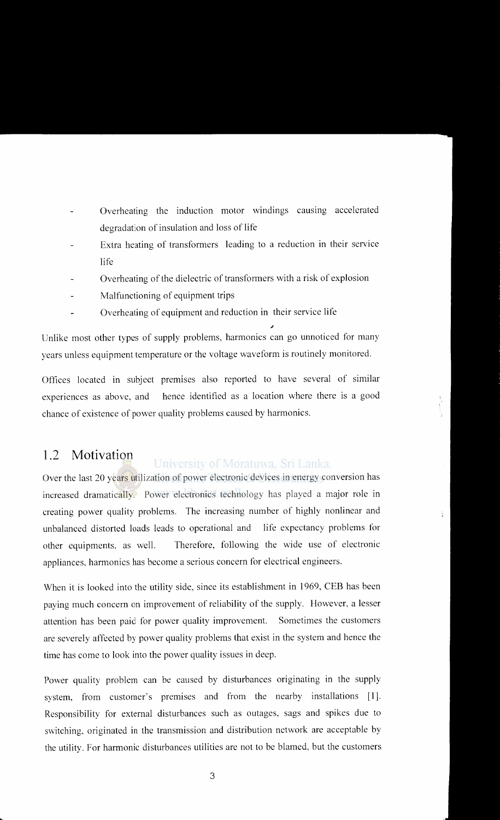- Overheating the induction motor windings causing accelerated degradation of insulation and loss of life
- Extra heating of transformers leading to a reduction in their service life
- Overheating of the dielectric of transformers with a risk of explosion
- Malfunctioning of equipment trips
- Overheating of equipment and reduction in their service life

Unlike most other types of supply problems, harmonics can go unnoticed for many years unless equipment temperature or the voltage waveform is routinely monitored.

Offices located in subject premises also reported to have several of similar experiences as above, and hence identified as a location where there is a good chance of existence of power quality problems caused by harmonics.

#### **1.2 Motivation**  University of Moratuwa, Sri Lanka.

Over the last 20 years utilization of power electronic devices in energy conversion has increased dramatically. Power electronics technology has played a major role in creating power quality problems. The increasing number of highly nonlinear and unbalanced distorted loads leads to operational and life expectancy problems for other equipments. as well. Therefore, following the wide use of electronic appliances, harmonics has become a serious concern for electrical engineers.

When it is looked into the utility side, since its establishment in 1969, CEB has been paying much concern on improvement of reliability of the supply. However, a lesser attention has been paid for power quality improvement. Sometimes the customers are severely affected by power quality problems that exist in the system and hence the time has come to look into the power quality issues in deep.

Power quality problem can be caused by disturbances originating in the supply system, from customer's premises and from the nearby installations [1]. Responsibility for external disturbances such as outages, sags and spikes due to switching, originated in the transmission and distribution network are acceptable by the utility. For harmonic disturbances utilities are not to be blamed, but the customers

3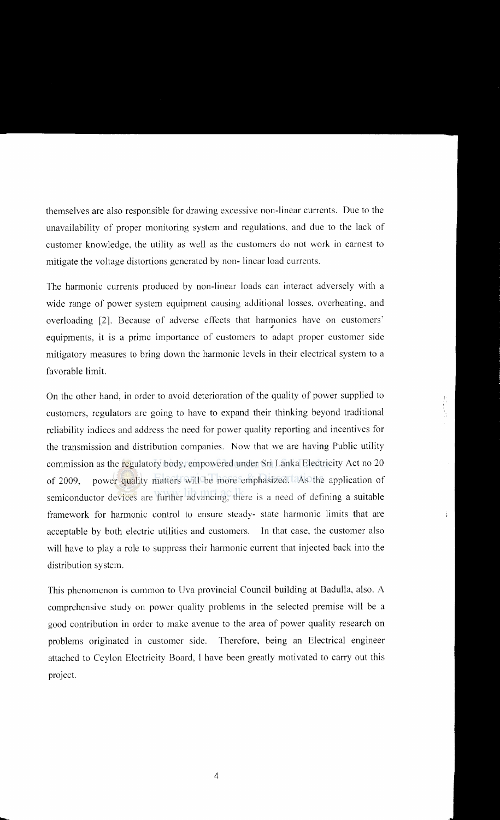themselves are also responsible for drawing excessive non-linear currents. Due to the unavailability of proper monitoring system and regulations, and due to the lack of customer knowledge. the utility as well as the customers do not work in earnest to mitigate the voltage distortions generated by non- linear load currents.

I'he harmonic currents produced by non-linear loads can interact adversely with a wide range of power system equipment causing additional losses. overheating, and overloading [2]. Because of adverse effects that harmonics have on customers' equipments, it is a prime importance of customers to adapt proper customer side mitigatory measures to bring down the harmonic levels in their electrical system to a favorable limit.

On the other hand, in order to avoid deterioration of the quality of power supplied to customers. regulators are going to have to expand their thinking beyond traditional reliability indices and address the need for power quality reporting and incentives for the transmission and distribution companies. Now that we are having Public utility commission as the regulatory body, empowered under Sri Lanka Electricity Act no 20 of 2009, power quality matters will be more emphasized. As the application of semiconductor devices are further advancing, there is a need of defining a suitable framework for harmonic control to ensure steady- state harmonic limits that are acceptable by both electric utilities and customers. In that case. the customer also will have to play a role to suppress their harmonic current that injected back into the distribution system.

This phenomenon is common to Uva provincial Council building at Badulla, also. A comprehensive study on power quality problems in the selected premise will be a good contribution **in** order to make avenue to the area of power quality research on problems originated in customer side. Therefore, being an Electrical engineer attached to Ceylon Electricity Board, I have been greatly motivated to carry out this project.

-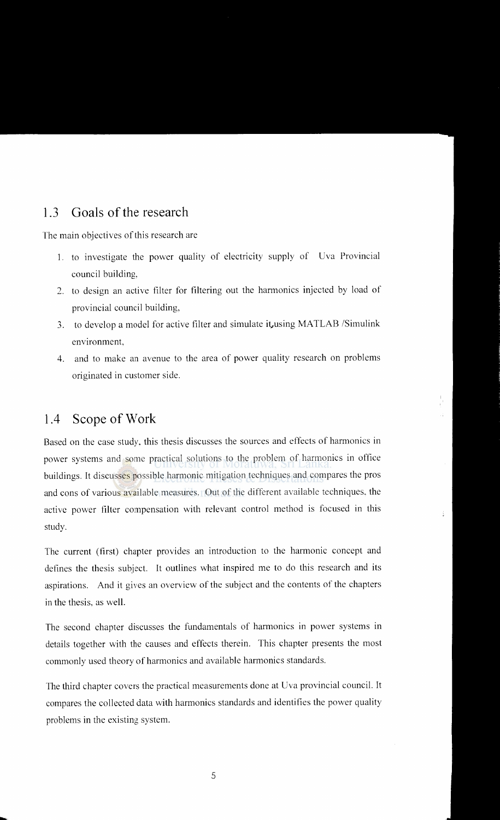### 1.3 **Goals of the research**

The main objectives of this research are

- 1. to investigate the power quality of electricity supply of Uva Provincial council building,
- 2. to design an active filter for filtering out the harmonics injected by load of provincial council building,
- 3. to develop a model for active filter and simulate it, using MATLAB /Simulink environment,
- 4. and to make an avenue to the area of power quality research on problems originated in customer side.

## **1.4 Scope of Work**

-

Based on the case study. this thesis discusses the sources and effects of harmonics in power systems and some practical solutions to the problem of harmonics in office buildings. It discusses possible harmonic mitigation techniques and compares the pros and cons of various available measures. Out of the different available techniques. the active power filter compensation with relevant control method is focused in this study.

The current (first) chapter provides an introduction to the harmonic concept and defines the thesis subject. It outlines what inspired me to do this research and its aspirations. And it gives an overview of the subject and the contents of the chapters in the thesis, as well.

The second chapter discusses the fundamentals of harmonics in power systems in details together with the causes and effects therein. This chapter presents the most commonly used theory of harmonics and available harmonics standards.

The third chapter covers the practical measurements done at Uva provincial council. It compares the collected data with harmonics standards and identifies the power quality problems in the existing system.